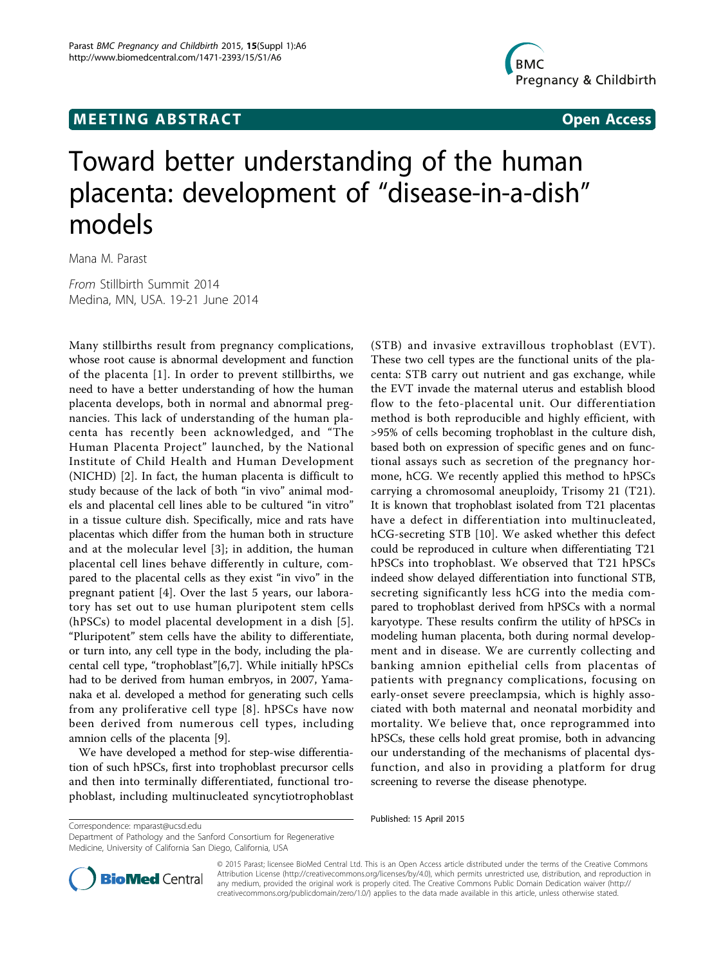## **MEETING ABSTRACT ACCESS**



# Toward better understanding of the human placenta: development of "disease-in-a-dish" models

Mana M. Parast

From Stillbirth Summit 2014 Medina, MN, USA. 19-21 June 2014

Many stillbirths result from pregnancy complications, whose root cause is abnormal development and function of the placenta [[1](#page-1-0)]. In order to prevent stillbirths, we need to have a better understanding of how the human placenta develops, both in normal and abnormal pregnancies. This lack of understanding of the human placenta has recently been acknowledged, and "The Human Placenta Project" launched, by the National Institute of Child Health and Human Development (NICHD) [\[2](#page-1-0)]. In fact, the human placenta is difficult to study because of the lack of both "in vivo" animal models and placental cell lines able to be cultured "in vitro" in a tissue culture dish. Specifically, mice and rats have placentas which differ from the human both in structure and at the molecular level [[3\]](#page-1-0); in addition, the human placental cell lines behave differently in culture, compared to the placental cells as they exist "in vivo" in the pregnant patient [[4\]](#page-1-0). Over the last 5 years, our laboratory has set out to use human pluripotent stem cells (hPSCs) to model placental development in a dish [[5](#page-1-0)]. "Pluripotent" stem cells have the ability to differentiate, or turn into, any cell type in the body, including the placental cell type, "trophoblast"[[6,7\]](#page-1-0). While initially hPSCs had to be derived from human embryos, in 2007, Yamanaka et al. developed a method for generating such cells from any proliferative cell type [[8\]](#page-1-0). hPSCs have now been derived from numerous cell types, including amnion cells of the placenta [\[9](#page-1-0)].

We have developed a method for step-wise differentiation of such hPSCs, first into trophoblast precursor cells and then into terminally differentiated, functional trophoblast, including multinucleated syncytiotrophoblast

(STB) and invasive extravillous trophoblast (EVT). These two cell types are the functional units of the placenta: STB carry out nutrient and gas exchange, while the EVT invade the maternal uterus and establish blood flow to the feto-placental unit. Our differentiation method is both reproducible and highly efficient, with >95% of cells becoming trophoblast in the culture dish, based both on expression of specific genes and on functional assays such as secretion of the pregnancy hormone, hCG. We recently applied this method to hPSCs carrying a chromosomal aneuploidy, Trisomy 21 (T21). It is known that trophoblast isolated from T21 placentas have a defect in differentiation into multinucleated, hCG-secreting STB [[10\]](#page-1-0). We asked whether this defect could be reproduced in culture when differentiating T21 hPSCs into trophoblast. We observed that T21 hPSCs indeed show delayed differentiation into functional STB, secreting significantly less hCG into the media compared to trophoblast derived from hPSCs with a normal karyotype. These results confirm the utility of hPSCs in modeling human placenta, both during normal development and in disease. We are currently collecting and banking amnion epithelial cells from placentas of patients with pregnancy complications, focusing on early-onset severe preeclampsia, which is highly associated with both maternal and neonatal morbidity and mortality. We believe that, once reprogrammed into hPSCs, these cells hold great promise, both in advancing our understanding of the mechanisms of placental dysfunction, and also in providing a platform for drug screening to reverse the disease phenotype.

Department of Pathology and the Sanford Consortium for Regenerative Medicine, University of California San Diego, California, USA



© 2015 Parast; licensee BioMed Central Ltd. This is an Open Access article distributed under the terms of the Creative Commons Attribution License [\(http://creativecommons.org/licenses/by/4.0](http://creativecommons.org/licenses/by/4.0)), which permits unrestricted use, distribution, and reproduction in any medium, provided the original work is properly cited. The Creative Commons Public Domain Dedication waiver [\(http://](http://creativecommons.org/publicdomain/zero/1.0/) [creativecommons.org/publicdomain/zero/1.0/](http://creativecommons.org/publicdomain/zero/1.0/)) applies to the data made available in this article, unless otherwise stated.

Published: 15 April 2015 Correspondence: [mparast@ucsd.edu](mailto:mparast@ucsd.edu)